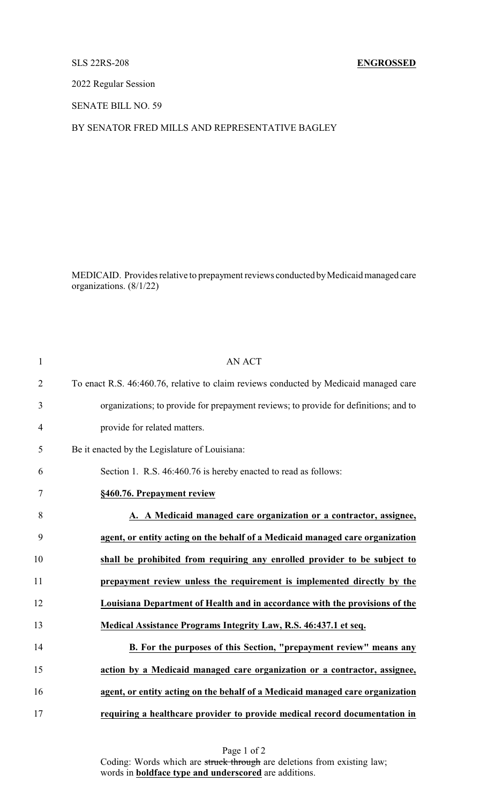### SLS 22RS-208 **ENGROSSED**

2022 Regular Session

SENATE BILL NO. 59

BY SENATOR FRED MILLS AND REPRESENTATIVE BAGLEY

MEDICAID. Provides relative to prepayment reviews conducted byMedicaid managed care organizations. (8/1/22)

| $\mathbf{1}$   | <b>AN ACT</b>                                                                         |
|----------------|---------------------------------------------------------------------------------------|
| $\overline{2}$ | To enact R.S. 46:460.76, relative to claim reviews conducted by Medicaid managed care |
| 3              | organizations; to provide for prepayment reviews; to provide for definitions; and to  |
| $\overline{4}$ | provide for related matters.                                                          |
| 5              | Be it enacted by the Legislature of Louisiana:                                        |
| 6              | Section 1. R.S. 46:460.76 is hereby enacted to read as follows:                       |
| 7              | §460.76. Prepayment review                                                            |
| 8              | A. A Medicaid managed care organization or a contractor, assignee,                    |
| 9              | agent, or entity acting on the behalf of a Medicaid managed care organization         |
| 10             | shall be prohibited from requiring any enrolled provider to be subject to             |
| 11             | prepayment review unless the requirement is implemented directly by the               |
| 12             | Louisiana Department of Health and in accordance with the provisions of the           |
| 13             | Medical Assistance Programs Integrity Law, R.S. 46:437.1 et seq.                      |
| 14             | B. For the purposes of this Section, "prepayment review" means any                    |
| 15             | action by a Medicaid managed care organization or a contractor, assignee,             |
| 16             | agent, or entity acting on the behalf of a Medicaid managed care organization         |
| 17             | requiring a healthcare provider to provide medical record documentation in            |

Page 1 of 2 Coding: Words which are struck through are deletions from existing law; words in **boldface type and underscored** are additions.